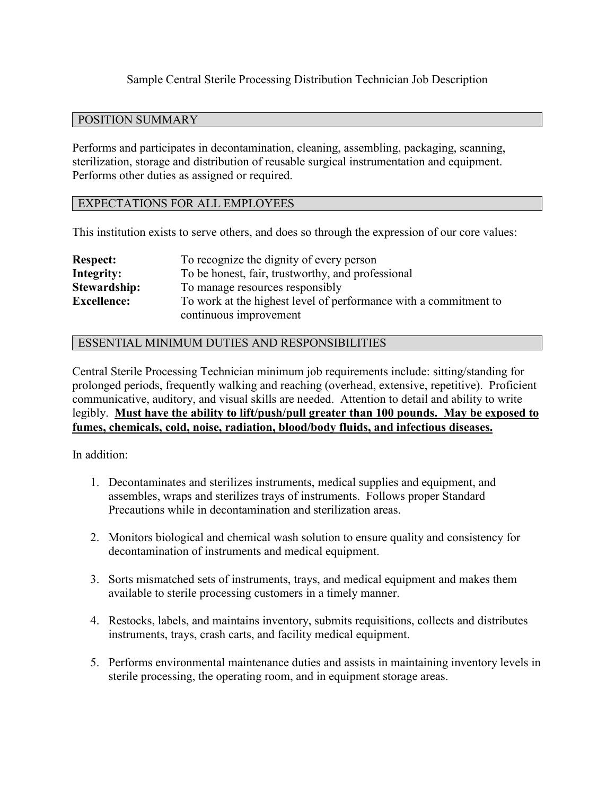## Sample Central Sterile Processing Distribution Technician Job Description

## POSITION SUMMARY

Performs and participates in decontamination, cleaning, assembling, packaging, scanning, sterilization, storage and distribution of reusable surgical instrumentation and equipment. Performs other duties as assigned or required.

## EXPECTATIONS FOR ALL EMPLOYEES

This institution exists to serve others, and does so through the expression of our core values:

| <b>Respect:</b>     | To recognize the dignity of every person                         |
|---------------------|------------------------------------------------------------------|
| Integrity:          | To be honest, fair, trustworthy, and professional                |
| <b>Stewardship:</b> | To manage resources responsibly                                  |
| <b>Excellence:</b>  | To work at the highest level of performance with a commitment to |
|                     | continuous improvement                                           |

## ESSENTIAL MINIMUM DUTIES AND RESPONSIBILITIES

Central Sterile Processing Technician minimum job requirements include: sitting/standing for prolonged periods, frequently walking and reaching (overhead, extensive, repetitive). Proficient communicative, auditory, and visual skills are needed. Attention to detail and ability to write legibly. **Must have the ability to lift/push/pull greater than 100 pounds. May be exposed to fumes, chemicals, cold, noise, radiation, blood/body fluids, and infectious diseases.**

In addition:

- 1. Decontaminates and sterilizes instruments, medical supplies and equipment, and assembles, wraps and sterilizes trays of instruments. Follows proper Standard Precautions while in decontamination and sterilization areas.
- 2. Monitors biological and chemical wash solution to ensure quality and consistency for decontamination of instruments and medical equipment.
- 3. Sorts mismatched sets of instruments, trays, and medical equipment and makes them available to sterile processing customers in a timely manner.
- 4. Restocks, labels, and maintains inventory, submits requisitions, collects and distributes instruments, trays, crash carts, and facility medical equipment.
- 5. Performs environmental maintenance duties and assists in maintaining inventory levels in sterile processing, the operating room, and in equipment storage areas.